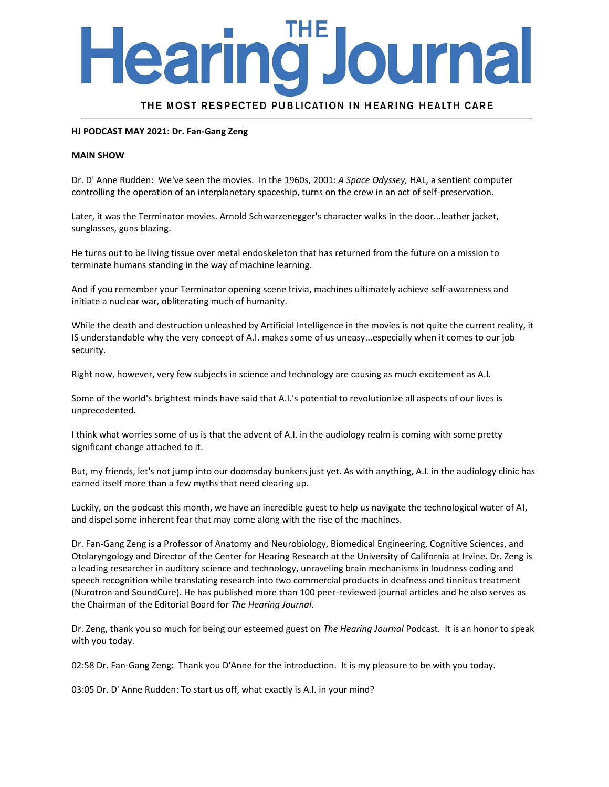# ourna earing J

THE MOST RESPECTED PUBLICATION IN HEARING HEALTH CARE

#### **HJ PODCAST MAY 2021: Dr. Fan-Gang Zeng**

#### **MAIN SHOW**

Dr. D' Anne Rudden: We've seen the movies. In the 1960s, 2001: *A Space Odyssey,* HAL, a sentient computer controlling the operation of an interplanetary spaceship, turns on the crew in an act of self-preservation.

Later, it was the Terminator movies. Arnold Schwarzenegger's character walks in the door...leather jacket, sunglasses, guns blazing.

He turns out to be living tissue over metal endoskeleton that has returned from the future on a mission to terminate humans standing in the way of machine learning.

And if you remember your Terminator opening scene trivia, machines ultimately achieve self-awareness and initiate a nuclear war, obliterating much of humanity.

While the death and destruction unleashed by Artificial Intelligence in the movies is not quite the current reality, it IS understandable why the very concept of A.I. makes some of us uneasy...especially when it comes to our job security.

Right now, however, very few subjects in science and technology are causing as much excitement as A.I.

Some of the world's brightest minds have said that A.I.'s potential to revolutionize all aspects of our lives is unprecedented.

I think what worries some of us is that the advent of A.I. in the audiology realm is coming with some pretty significant change attached to it.

But, my friends, let's not jump into our doomsday bunkers just yet. As with anything, A.I. in the audiology clinic has earned itself more than a few myths that need clearing up.

Luckily, on the podcast this month, we have an incredible guest to help us navigate the technological water of AI, and dispel some inherent fear that may come along with the rise of the machines.

Dr. Fan-Gang Zeng is a Professor of Anatomy and Neurobiology, Biomedical Engineering, Cognitive Sciences, and Otolaryngology and Director of the Center for Hearing Research at the University of California at Irvine. Dr. Zeng is a leading researcher in auditory science and technology, unraveling brain mechanisms in loudness coding and speech recognition while translating research into two commercial products in deafness and tinnitus treatment (Nurotron and SoundCure). He has published more than 100 peer-reviewed journal articles and he also serves as the Chairman of the Editorial Board for *The Hearing Journal.*

Dr. Zeng, thank you so much for being our esteemed guest on *The Hearing Journal* Podcast. It is an honor to speak with you today.

02:58 Dr. Fan-Gang Zeng: Thank you D'Anne for the introduction. It is my pleasure to be with you today.

03:05 Dr. D' Anne Rudden: To start us off, what exactly is A.I. in your mind?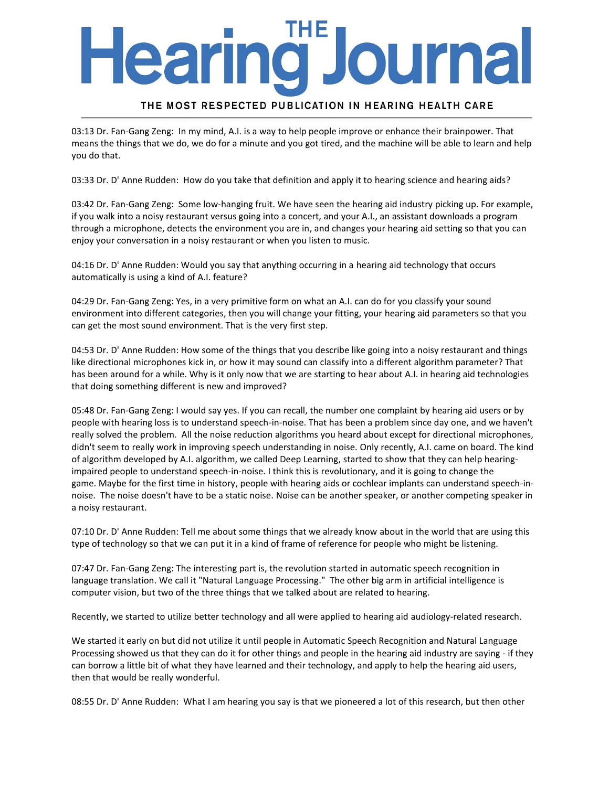# earing **Journa**

### THE MOST RESPECTED PUBLICATION IN HEARING HEALTH CARE

03:13 Dr. Fan-Gang Zeng: In my mind, A.I. is a way to help people improve or enhance their brainpower. That means the things that we do, we do for a minute and you got tired, and the machine will be able to learn and help you do that.

03:33 Dr. D' Anne Rudden: How do you take that definition and apply it to hearing science and hearing aids?

03:42 Dr. Fan-Gang Zeng: Some low-hanging fruit. We have seen the hearing aid industry picking up. For example, if you walk into a noisy restaurant versus going into a concert, and your A.I., an assistant downloads a program through a microphone, detects the environment you are in, and changes your hearing aid setting so that you can enjoy your conversation in a noisy restaurant or when you listen to music.

04:16 Dr. D' Anne Rudden: Would you say that anything occurring in a hearing aid technology that occurs automatically is using a kind of A.I. feature?

04:29 Dr. Fan-Gang Zeng: Yes, in a very primitive form on what an A.I. can do for you classify your sound environment into different categories, then you will change your fitting, your hearing aid parameters so that you can get the most sound environment. That is the very first step.

04:53 Dr. D' Anne Rudden: How some of the things that you describe like going into a noisy restaurant and things like directional microphones kick in, or how it may sound can classify into a different algorithm parameter? That has been around for a while. Why is it only now that we are starting to hear about A.I. in hearing aid technologies that doing something different is new and improved?

05:48 Dr. Fan-Gang Zeng: I would say yes. If you can recall, the number one complaint by hearing aid users or by people with hearing loss is to understand speech-in-noise. That has been a problem since day one, and we haven't really solved the problem. All the noise reduction algorithms you heard about except for directional microphones, didn't seem to really work in improving speech understanding in noise. Only recently, A.I. came on board. The kind of algorithm developed by A.I. algorithm, we called Deep Learning, started to show that they can help hearingimpaired people to understand speech-in-noise. I think this is revolutionary, and it is going to change the game. Maybe for the first time in history, people with hearing aids or cochlear implants can understand speech-innoise. The noise doesn't have to be a static noise. Noise can be another speaker, or another competing speaker in a noisy restaurant.

07:10 Dr. D' Anne Rudden: Tell me about some things that we already know about in the world that are using this type of technology so that we can put it in a kind of frame of reference for people who might be listening.

07:47 Dr. Fan-Gang Zeng: The interesting part is, the revolution started in automatic speech recognition in language translation. We call it "Natural Language Processing." The other big arm in artificial intelligence is computer vision, but two of the three things that we talked about are related to hearing.

Recently, we started to utilize better technology and all were applied to hearing aid audiology-related research.

We started it early on but did not utilize it until people in Automatic Speech Recognition and Natural Language Processing showed us that they can do it for other things and people in the hearing aid industry are saying - if they can borrow a little bit of what they have learned and their technology, and apply to help the hearing aid users, then that would be really wonderful.

08:55 Dr. D' Anne Rudden: What I am hearing you say is that we pioneered a lot of this research, but then other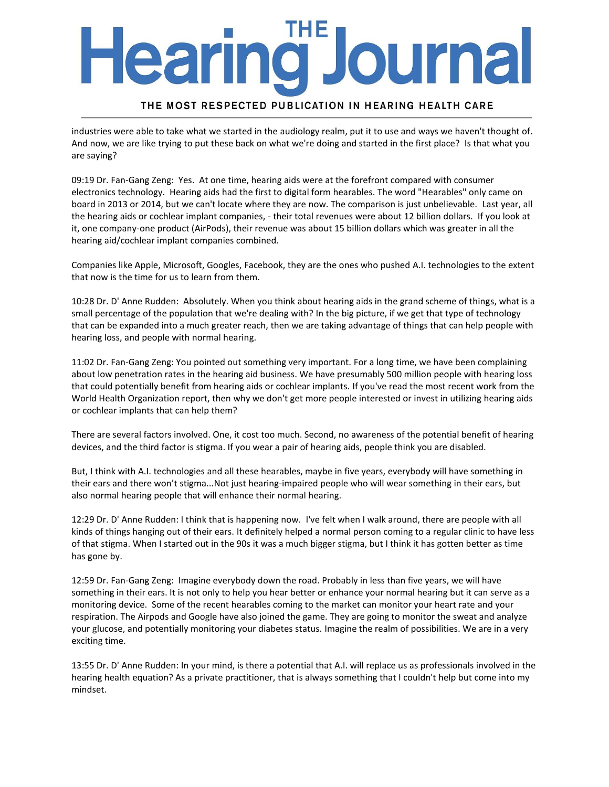# **Journa** earing

### THE MOST RESPECTED PUBLICATION IN HEARING HEALTH CARE

industries were able to take what we started in the audiology realm, put it to use and ways we haven't thought of. And now, we are like trying to put these back on what we're doing and started in the first place? Is that what you are saying?

09:19 Dr. Fan-Gang Zeng: Yes. At one time, hearing aids were at the forefront compared with consumer electronics technology. Hearing aids had the first to digital form hearables. The word "Hearables" only came on board in 2013 or 2014, but we can't locate where they are now. The comparison is just unbelievable. Last year, all the hearing aids or cochlear implant companies, - their total revenues were about 12 billion dollars. If you look at it, one company-one product (AirPods), their revenue was about 15 billion dollars which was greater in all the hearing aid/cochlear implant companies combined.

Companies like Apple, Microsoft, Googles, Facebook, they are the ones who pushed A.I. technologies to the extent that now is the time for us to learn from them.

10:28 Dr. D' Anne Rudden: Absolutely. When you think about hearing aids in the grand scheme of things, what is a small percentage of the population that we're dealing with? In the big picture, if we get that type of technology that can be expanded into a much greater reach, then we are taking advantage of things that can help people with hearing loss, and people with normal hearing.

11:02 Dr. Fan-Gang Zeng: You pointed out something very important. For a long time, we have been complaining about low penetration rates in the hearing aid business. We have presumably 500 million people with hearing loss that could potentially benefit from hearing aids or cochlear implants. If you've read the most recent work from the World Health Organization report, then why we don't get more people interested or invest in utilizing hearing aids or cochlear implants that can help them?

There are several factors involved. One, it cost too much. Second, no awareness of the potential benefit of hearing devices, and the third factor is stigma. If you wear a pair of hearing aids, people think you are disabled.

But, I think with A.I. technologies and all these hearables, maybe in five years, everybody will have something in their ears and there won't stigma...Not just hearing-impaired people who will wear something in their ears, but also normal hearing people that will enhance their normal hearing.

12:29 Dr. D' Anne Rudden: I think that is happening now. I've felt when I walk around, there are people with all kinds of things hanging out of their ears. It definitely helped a normal person coming to a regular clinic to have less of that stigma. When I started out in the 90s it was a much bigger stigma, but I think it has gotten better as time has gone by.

12:59 Dr. Fan-Gang Zeng: Imagine everybody down the road. Probably in less than five years, we will have something in their ears. It is not only to help you hear better or enhance your normal hearing but it can serve as a monitoring device. Some of the recent hearables coming to the market can monitor your heart rate and your respiration. The Airpods and Google have also joined the game. They are going to monitor the sweat and analyze your glucose, and potentially monitoring your diabetes status. Imagine the realm of possibilities. We are in a very exciting time.

13:55 Dr. D' Anne Rudden: In your mind, is there a potential that A.I. will replace us as professionals involved in the hearing health equation? As a private practitioner, that is always something that I couldn't help but come into my mindset.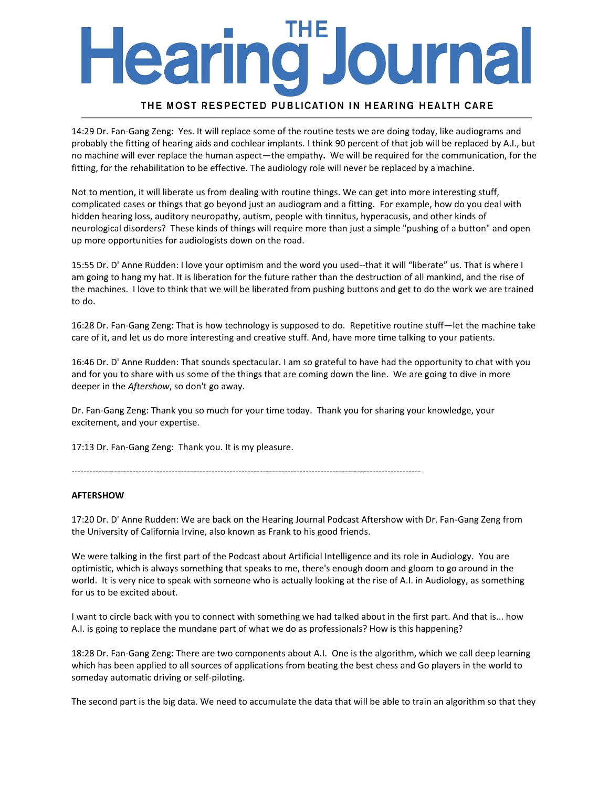# earing ourna

### THE MOST RESPECTED PUBLICATION IN HEARING HEALTH CARE

14:29 Dr. Fan-Gang Zeng: Yes. It will replace some of the routine tests we are doing today, like audiograms and probably the fitting of hearing aids and cochlear implants. I think 90 percent of that job will be replaced by A.I., but no machine will ever replace the human aspect—the empathy**.** We will be required for the communication, for the fitting, for the rehabilitation to be effective. The audiology role will never be replaced by a machine.

Not to mention, it will liberate us from dealing with routine things. We can get into more interesting stuff, complicated cases or things that go beyond just an audiogram and a fitting. For example, how do you deal with hidden hearing loss, auditory neuropathy, autism, people with tinnitus, hyperacusis, and other kinds of neurological disorders? These kinds of things will require more than just a simple "pushing of a button" and open up more opportunities for audiologists down on the road.

15:55 Dr. D' Anne Rudden: I love your optimism and the word you used--that it will "liberate" us. That is where I am going to hang my hat. It is liberation for the future rather than the destruction of all mankind, and the rise of the machines. I love to think that we will be liberated from pushing buttons and get to do the work we are trained to do.

16:28 Dr. Fan-Gang Zeng: That is how technology is supposed to do. Repetitive routine stuff—let the machine take care of it, and let us do more interesting and creative stuff. And, have more time talking to your patients.

16:46 Dr. D' Anne Rudden: That sounds spectacular. I am so grateful to have had the opportunity to chat with you and for you to share with us some of the things that are coming down the line. We are going to dive in more deeper in the *Aftershow*, so don't go away.

Dr. Fan-Gang Zeng: Thank you so much for your time today. Thank you for sharing your knowledge, your excitement, and your expertise.

17:13 Dr. Fan-Gang Zeng: Thank you. It is my pleasure.

-------------------------------------------------------------------------------------------------------------------

#### **AFTERSHOW**

17:20 Dr. D' Anne Rudden: We are back on the Hearing Journal Podcast Aftershow with Dr. Fan-Gang Zeng from the University of California Irvine, also known as Frank to his good friends.

We were talking in the first part of the Podcast about Artificial Intelligence and its role in Audiology. You are optimistic, which is always something that speaks to me, there's enough doom and gloom to go around in the world. It is very nice to speak with someone who is actually looking at the rise of A.I. in Audiology, as something for us to be excited about.

I want to circle back with you to connect with something we had talked about in the first part. And that is... how A.I. is going to replace the mundane part of what we do as professionals? How is this happening?

18:28 Dr. Fan-Gang Zeng: There are two components about A.I. One is the algorithm, which we call deep learning which has been applied to all sources of applications from beating the best chess and Go players in the world to someday automatic driving or self-piloting.

The second part is the big data. We need to accumulate the data that will be able to train an algorithm so that they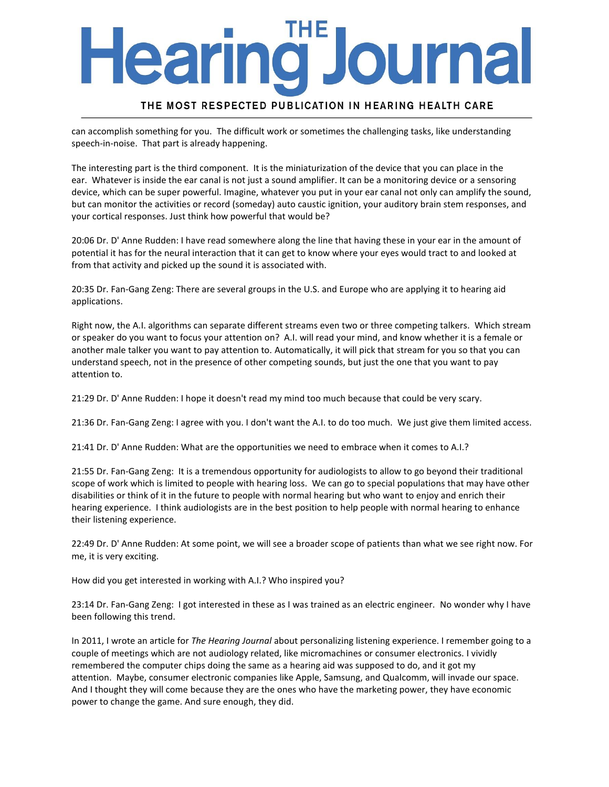# ourna earmo

### THE MOST RESPECTED PUBLICATION IN HEARING HEALTH CARE

can accomplish something for you. The difficult work or sometimes the challenging tasks, like understanding speech-in-noise. That part is already happening.

The interesting part is the third component. It is the miniaturization of the device that you can place in the ear. Whatever is inside the ear canal is not just a sound amplifier. It can be a monitoring device or a sensoring device, which can be super powerful. Imagine, whatever you put in your ear canal not only can amplify the sound, but can monitor the activities or record (someday) auto caustic ignition, your auditory brain stem responses, and your cortical responses. Just think how powerful that would be?

20:06 Dr. D' Anne Rudden: I have read somewhere along the line that having these in your ear in the amount of potential it has for the neural interaction that it can get to know where your eyes would tract to and looked at from that activity and picked up the sound it is associated with.

20:35 Dr. Fan-Gang Zeng: There are several groups in the U.S. and Europe who are applying it to hearing aid applications.

Right now, the A.I. algorithms can separate different streams even two or three competing talkers. Which stream or speaker do you want to focus your attention on? A.I. will read your mind, and know whether it is a female or another male talker you want to pay attention to. Automatically, it will pick that stream for you so that you can understand speech, not in the presence of other competing sounds, but just the one that you want to pay attention to.

21:29 Dr. D' Anne Rudden: I hope it doesn't read my mind too much because that could be very scary.

21:36 Dr. Fan-Gang Zeng: I agree with you. I don't want the A.I. to do too much. We just give them limited access.

21:41 Dr. D' Anne Rudden: What are the opportunities we need to embrace when it comes to A.I.?

21:55 Dr. Fan-Gang Zeng: It is a tremendous opportunity for audiologists to allow to go beyond their traditional scope of work which is limited to people with hearing loss. We can go to special populations that may have other disabilities or think of it in the future to people with normal hearing but who want to enjoy and enrich their hearing experience. I think audiologists are in the best position to help people with normal hearing to enhance their listening experience.

22:49 Dr. D' Anne Rudden: At some point, we will see a broader scope of patients than what we see right now. For me, it is very exciting.

How did you get interested in working with A.I.? Who inspired you?

23:14 Dr. Fan-Gang Zeng: I got interested in these as I was trained as an electric engineer. No wonder why I have been following this trend.

In 2011, I wrote an article for *The Hearing Journal* about personalizing listening experience. I remember going to a couple of meetings which are not audiology related, like micromachines or consumer electronics. I vividly remembered the computer chips doing the same as a hearing aid was supposed to do, and it got my attention. Maybe, consumer electronic companies like Apple, Samsung, and Qualcomm, will invade our space. And I thought they will come because they are the ones who have the marketing power, they have economic power to change the game. And sure enough, they did.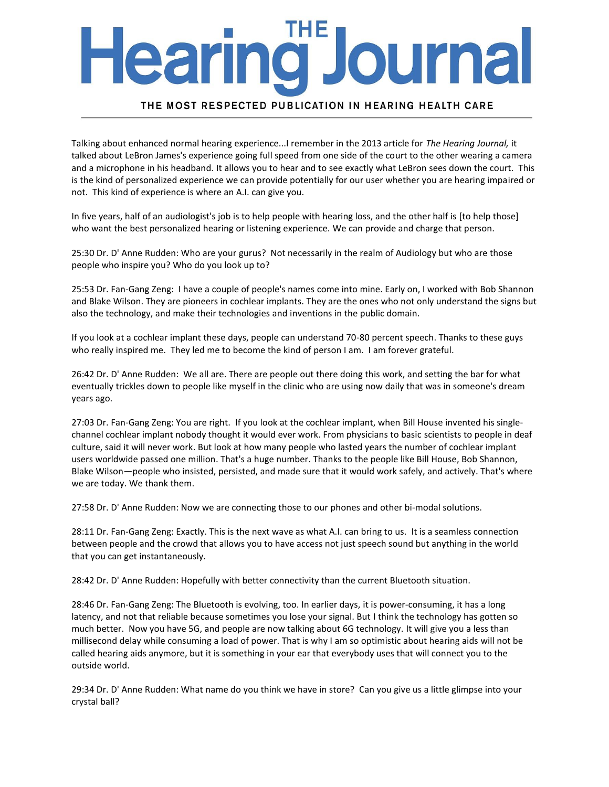# **Journa** earmg J

### THE MOST RESPECTED PUBLICATION IN HEARING HEALTH CARE

Talking about enhanced normal hearing experience...I remember in the 2013 article for *The Hearing Journal,* it talked about LeBron James's experience going full speed from one side of the court to the other wearing a camera and a microphone in his headband. It allows you to hear and to see exactly what LeBron sees down the court. This is the kind of personalized experience we can provide potentially for our user whether you are hearing impaired or not. This kind of experience is where an A.I. can give you.

In five years, half of an audiologist's job is to help people with hearing loss, and the other half is [to help those] who want the best personalized hearing or listening experience. We can provide and charge that person.

25:30 Dr. D' Anne Rudden: Who are your gurus? Not necessarily in the realm of Audiology but who are those people who inspire you? Who do you look up to?

25:53 Dr. Fan-Gang Zeng: I have a couple of people's names come into mine. Early on, I worked with Bob Shannon and Blake Wilson. They are pioneers in cochlear implants. They are the ones who not only understand the signs but also the technology, and make their technologies and inventions in the public domain.

If you look at a cochlear implant these days, people can understand 70-80 percent speech. Thanks to these guys who really inspired me. They led me to become the kind of person I am. I am forever grateful.

26:42 Dr. D' Anne Rudden: We all are. There are people out there doing this work, and setting the bar for what eventually trickles down to people like myself in the clinic who are using now daily that was in someone's dream years ago.

27:03 Dr. Fan-Gang Zeng: You are right. If you look at the cochlear implant, when Bill House invented his singlechannel cochlear implant nobody thought it would ever work. From physicians to basic scientists to people in deaf culture, said it will never work. But look at how many people who lasted years the number of cochlear implant users worldwide passed one million. That's a huge number. Thanks to the people like Bill House, Bob Shannon, Blake Wilson—people who insisted, persisted, and made sure that it would work safely, and actively. That's where we are today. We thank them.

27:58 Dr. D' Anne Rudden: Now we are connecting those to our phones and other bi-modal solutions.

28:11 Dr. Fan-Gang Zeng: Exactly. This is the next wave as what A.I. can bring to us. It is a seamless connection between people and the crowd that allows you to have access not just speech sound but anything in the world that you can get instantaneously.

28:42 Dr. D' Anne Rudden: Hopefully with better connectivity than the current Bluetooth situation.

28:46 Dr. Fan-Gang Zeng: The Bluetooth is evolving, too. In earlier days, it is power-consuming, it has a long latency, and not that reliable because sometimes you lose your signal. But I think the technology has gotten so much better. Now you have 5G, and people are now talking about 6G technology. It will give you a less than millisecond delay while consuming a load of power. That is why I am so optimistic about hearing aids will not be called hearing aids anymore, but it is something in your ear that everybody uses that will connect you to the outside world.

29:34 Dr. D' Anne Rudden: What name do you think we have in store? Can you give us a little glimpse into your crystal ball?